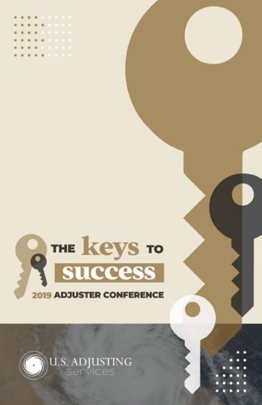





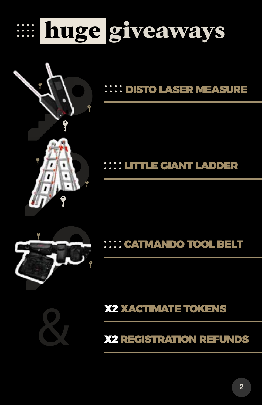





### LITTLE GIANT LADDER



CATMANDO TOOL BELT

X2 XACTIMATE TOKENS & X2 REGISTRATION REFUNDS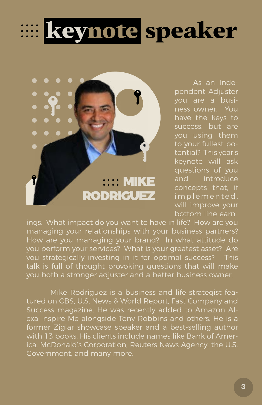



As an Independent Adjuster you are a business owner. You have the keys to success, but are you using them to your fullest potential? This year's keynote will ask questions of you and introduce concepts that, if implemented, will improve your bottom line earn-

ings. What impact do you want to have in life? How are you managing your relationships with your business partners? How are you managing your brand? In what attitude do you perform your services? What is your greatest asset? Are you strategically investing in it for optimal success? This talk is full of thought provoking questions that will make you both a stronger adjuster and a better business owner.

Mike Rodriguez is a business and life strategist featured on CBS, U.S. News & World Report, Fast Company and Success magazine. He was recently added to Amazon Alexa Inspire Me alongside Tony Robbins and others. He is a former Ziglar showcase speaker and a best-selling author with 13 books. His clients include names like Bank of America, McDonald's Corporation, Reuters News Agency, the U.S. Government, and many more.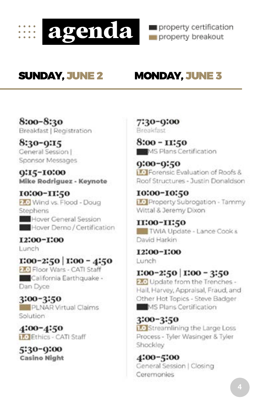

property certification property breakout

## SUNDAY, JUNE 2 MONDAY, JUNE 3

8:00-8:30 Breakfast | Registration

8:30-0:15 General Session | Sponsor Messages

0:15-10:00 Mike Rodriguez - Keynote

**10:00-II:50** 2.0 Wind vs. Flood - Doug Stephens

Hover General Session **B** Hover Demo / Certification

I2:00-I:00 Lunch

 $1:00-2:50$   $1:00-4:50$ 2.0 Floor Wars - CATI Staff California Earthquake -Dan Dyce

3:00-3:50 PLNAR Virtual Claims Solution

4:00-4:50 1.0 Ethics - CATI Staff

5:30-0:00 **Casino Night**  7:30-9:00 Breakfast

8:00 - 11:50 MS Plans Certification

 $0:00-0:50$ **1.0** Forensic Evaluation of Roofs & Roof Structures - Justin Donaldson

10:00-10:50 1.0 Property Subrogation - Tammy Wittal & Jeremy Dixon

**II:00-II:50** TWIA Update - Lance Cook & David Harkin

**I2:00-I:00** Lunch

 $1:00-2:50$   $1:00-3:50$ 

2.0 Update from the Trenches -Hail, Harvey, Appraisal, Fraud, and Other Hot Topics - Steve Badger MS Plans Certification

3:00-3:50 1.0 Streamlining the Large Loss Process - Tyler Wasinger & Tyler Shockley

4:00-5:00 General Session | Closing Ceremonies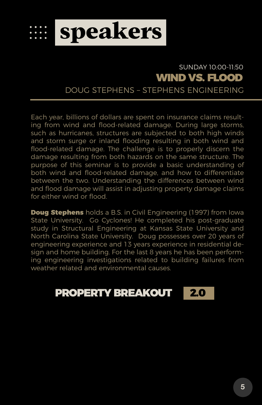

### WIND VS. FLOOD SUNDAY 10:00-11:50

DOUG STEPHENS – STEPHENS ENGINEERING

Each year, billions of dollars are spent on insurance claims resulting from wind and flood-related damage. During large storms, such as hurricanes, structures are subjected to both high winds and storm surge or inland flooding resulting in both wind and flood-related damage. The challenge is to properly discern the damage resulting from both hazards on the same structure. The purpose of this seminar is to provide a basic understanding of both wind and flood-related damage, and how to differentiate between the two. Understanding the differences between wind and flood damage will assist in adjusting property damage claims for either wind or flood.

**Doug Stephens** holds a B.S. in Civil Engineering (1997) from Iowa State University. Go Cyclones! He completed his post-graduate study in Structural Engineering at Kansas State University and North Carolina State University. Doug possesses over 20 years of engineering experience and 13 years experience in residential design and home building. For the last 8 years he has been performing engineering investigations related to building failures from weather related and environmental causes.

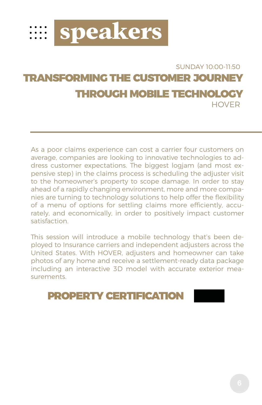

### TRANSFORMING THE CUSTOMER JOURNEY THROUGH MOBILE TECHNOLOGY SUNDAY 10:00-11:50 **HOVER**

As a poor claims experience can cost a carrier four customers on average, companies are looking to innovative technologies to address customer expectations. The biggest logjam (and most expensive step) in the claims process is scheduling the adjuster visit to the homeowner's property to scope damage. In order to stay ahead of a rapidly changing environment, more and more companies are turning to technology solutions to help offer the flexibility of a menu of options for settling claims more efficiently, accurately, and economically, in order to positively impact customer satisfaction.

This session will introduce a mobile technology that's been deployed to Insurance carriers and independent adjusters across the United States. With HOVER, adjusters and homeowner can take photos of any home and receive a settlement-ready data package including an interactive 3D model with accurate exterior measurements.

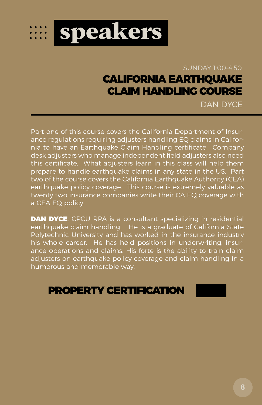

### CALIFORNIA EARTHQUAKE CLAIM HANDLING COURSE SUNDAY 1:00-4:50

DAN DYCE

Part one of this course covers the California Department of Insurance regulations requiring adjusters handling EQ claims in California to have an Earthquake Claim Handling certificate. Company desk adjusters who manage independent field adjusters also need this certificate. What adjusters learn in this class will help them prepare to handle earthquake claims in any state in the US. Part two of the course covers the California Earthquake Authority (CEA) earthquake policy coverage. This course is extremely valuable as twenty two insurance companies write their CA EQ coverage with a CEA EQ policy.

DAN DYCE, CPCU RPA is a consultant specializing in residential earthquake claim handling. He is a graduate of California State Polytechnic University and has worked in the insurance industry his whole career. He has held positions in underwriting, insurance operations and claims. His forte is the ability to train claim adjusters on earthquake policy coverage and claim handling in a humorous and memorable way.

### PROPERTY CERTIFICATION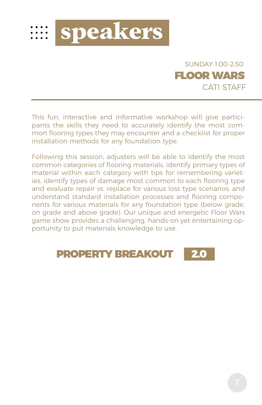



This fun, interactive and informative workshop will give participants the skills they need to accurately identify the most common flooring types they may encounter and a checklist for proper installation methods for any foundation type.

Following this session, adjusters will be able to identify the most common categories of flooring materials, identify primary types of material within each category with tips for remembering varieties, identify types of damage most common to each flooring type and evaluate repair vs. replace for various loss type scenarios, and understand standard installation processes and flooring components for various materials for any foundation type (below grade, on grade and above grade). Our unique and energetic Floor Wars game show provides a challenging, hands-on yet entertaining opportunity to put materials knowledge to use.

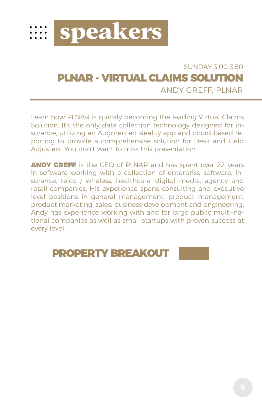

### PLNAR - VIRTUAL CLAIMS SOLUTION ANDY GREEF PLNAR SUNDAY 3:00-3:50

Learn how PLNAR is quickly becoming the leading Virtual Claims Solution. It's the only data collection technology designed for insurance, utilizing an Augmented Reality app and cloud-based reporting to provide a comprehensive solution for Desk and Field Adjusters. You don't want to miss this presentation.

**ANDY GREFF** is the CEO of PLNAR and has spent over 22 years in software working with a collection of enterprise software, insurance, telco / wireless, healthcare, digital media, agency and retail companies. His experience spans consulting and executive level positions in general management, product management, product marketing, sales, business development and engineering. Andy has experience working with and for large public multi-national companies as well as small startups with proven success at every level.

### PROPERTY BREAKOUT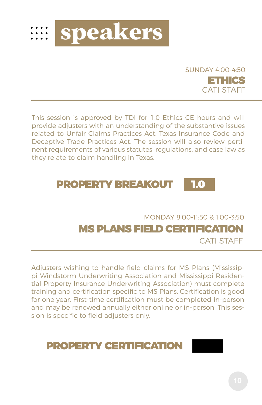



This session is approved by TDI for 1.0 Ethics CE hours and will provide adjusters with an understanding of the substantive issues related to Unfair Claims Practices Act, Texas Insurance Code and Deceptive Trade Practices Act. The session will also review pertinent requirements of various statutes, regulations, and case law as they relate to claim handling in Texas.



MS PLANS FIELD CERTIFICATION MONDAY 8:00-11:50 & 1:00-3:50 CATI STAFF

Adjusters wishing to handle field claims for MS Plans (Mississippi Windstorm Underwriting Association and Mississippi Residential Property Insurance Underwriting Association) must complete training and certification specific to MS Plans. Certification is good for one year. First-time certification must be completed in-person and may be renewed annually either online or in-person. This session is specific to field adjusters only.

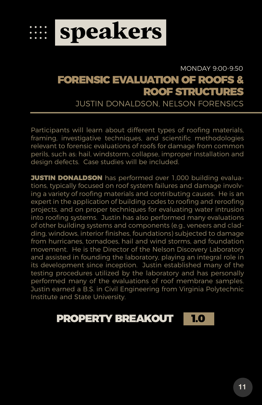

### FORENSIC EVALUATION OF ROOFS & ROOF STRUCTURES MONDAY 9:00-9:50

JUSTIN DONALDSON, NELSON FORENSICS

Participants will learn about different types of roofing materials, framing, investigative techniques, and scientific methodologies relevant to forensic evaluations of roofs for damage from common perils, such as: hail, windstorm, collapse, improper installation and design defects. Case studies will be included.

**JUSTIN DONALDSON** has performed over 1,000 building evaluations, typically focused on roof system failures and damage involving a variety of roofing materials and contributing causes. He is an expert in the application of building codes to roofing and reroofing projects, and on proper techniques for evaluating water intrusion into roofing systems. Justin has also performed many evaluations of other building systems and components (e.g., veneers and cladding, windows, interior finishes, foundations) subjected to damage from hurricanes, tornadoes, hail and wind storms, and foundation movement. He is the Director of the Nelson Discovery Laboratory and assisted in founding the laboratory, playing an integral role in its development since inception. Justin established many of the testing procedures utilized by the laboratory and has personally performed many of the evaluations of roof membrane samples. Justin earned a B.S. in Civil Engineering from Virginia Polytechnic Institute and State University.

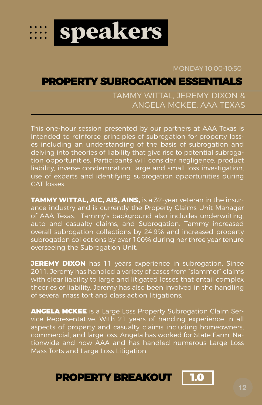

### MONDAY 10:00-10:50

### PROPERTY SUBROGATION ESSENTIALS

### TAMMY WITTAL, JEREMY DIXON & ANGELA MCKEE, AAA TEXAS

This one-hour session presented by our partners at AAA Texas is intended to reinforce principles of subrogation for property losses including an understanding of the basis of subrogation and delving into theories of liability that give rise to potential subrogation opportunities. Participants will consider negligence, product liability, inverse condemnation, large and small loss investigation, use of experts and identifying subrogation opportunities during CAT losses.

**TAMMY WITTAL, AIC, AIS, AINS,** is a 32-year veteran in the insurance industry and is currently the Property Claims Unit Manager of AAA Texas. Tammy's background also includes underwriting, auto and casualty claims, and Subrogation. Tammy increased overall subrogation collections by 24.9% and increased property subrogation collections by over 100% during her three year tenure overseeing the Subrogation Unit.

**JEREMY DIXON** has 11 years experience in subrogation. Since 2011, Jeremy has handled a variety of cases from "slammer" claims with clear liability to large and litigated losses that entail complex theories of liability. Jeremy has also been involved in the handling of several mass tort and class action litigations.

ANGELA MCKEE is a Large Loss Property Subrogation Claim Service Representative. With 21 years of handing experience in all aspects of property and casualty claims including homeowners, commercial, and large loss. Angela has worked for State Farm, Nationwide and now AAA and has handled numerous Large Loss Mass Torts and Large Loss Litigation.

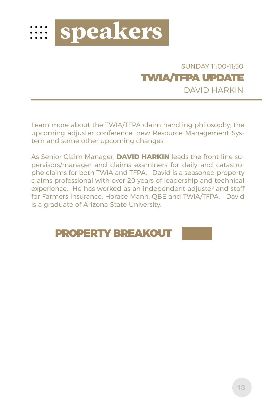

### DAVID HARKIN SUNDAY 11:00-11:50 TWIA/TFPA UPDATE

Learn more about the TWIA/TFPA claim handling philosophy, the upcoming adjuster conference, new Resource Management System and some other upcoming changes.

As Senior Claim Manager, **DAVID HARKIN** leads the front line supervisors/manager and claims examiners for daily and catastrophe claims for both TWIA and TFPA. David is a seasoned property claims professional with over 20 years of leadership and technical experience. He has worked as an independent adjuster and staff for Farmers Insurance, Horace Mann, QBE and TWIA/TFPA. David is a graduate of Arizona State University.

## PROPERTY BREAKOUT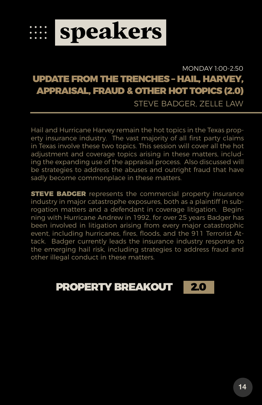

### UPDATE FROM THE TRENCHES – HAIL, HARVEY, APPRAISAL, FRAUD & OTHER HOT TOPICS (2.0) STEVE BADGER, ZELLE LAW MONDAY 1:00-2:50

Hail and Hurricane Harvey remain the hot topics in the Texas property insurance industry. The vast majority of all first party claims in Texas involve these two topics. This session will cover all the hot adjustment and coverage topics arising in these matters, including the expanding use of the appraisal process. Also discussed will be strategies to address the abuses and outright fraud that have sadly become commonplace in these matters.

**STEVE BADGER** represents the commercial property insurance industry in major catastrophe exposures, both as a plaintiff in subrogation matters and a defendant in coverage litigation. Beginning with Hurricane Andrew in 1992, for over 25 years Badger has been involved in litigation arising from every major catastrophic event, including hurricanes, fires, floods, and the 911 Terrorist Attack. Badger currently leads the insurance industry response to the emerging hail risk, including strategies to address fraud and other illegal conduct in these matters.

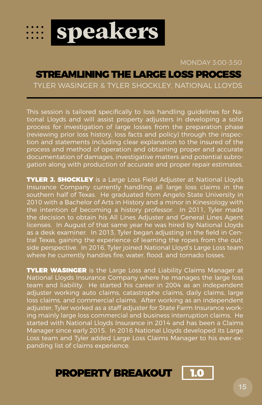

MONDAY 3:00-3:50

### STREAMLINING THE LARGE LOSS PROCESS

TYLER WASINGER & TYLER SHOCKLEY, NATIONAL LLOYDS

This session is tailored specifically to loss handling guidelines for National Lloyds and will assist property adjusters in developing a solid process for investigation of large losses from the preparation phase (reviewing prior loss history, loss facts and policy) through the inspection and statements including clear explanation to the insured of the process and method of operation and obtaining proper and accurate documentation of damages, investigative matters and potential subrogation along with production of accurate and proper repair estimates.

**TYLER J. SHOCKLEY** is a Large Loss Field Adjuster at National Lloyds Insurance Company currently handling all large loss claims in the southern half of Texas. He graduated from Angelo State University in 2010 with a Bachelor of Arts in History and a minor in Kinesiology with the intention of becoming a history professor. In 2011, Tyler made the decision to obtain his All Lines Adjuster and General Lines Agent licenses. In August of that same year he was hired by National Lloyds as a desk examiner. In 2013, Tyler began adjusting in the field in Central Texas, gaining the experience of learning the ropes from the outside perspective. In 2016, Tyler joined National Lloyd's Large Loss team where he currently handles fire, water, flood, and tornado losses.

**TYLER WASINGER** is the Large Loss and Liability Claims Manager at National Lloyds Insurance Company where he manages the large loss team and liability. He started his career in 2004 as an independent adjuster working auto claims, catastrophe claims, daily claims, large loss claims, and commercial claims. After working as an independent adjuster, Tyler worked as a staff adjuster for State Farm Insurance working mainly large loss commercial and business interruption claims. He started with National Lloyds Insurance in 2014 and has been a Claims Manager since early 2015. In 2016 National Lloyds developed its Large Loss team and Tyler added Large Loss Claims Manager to his ever-expanding list of claims experience.

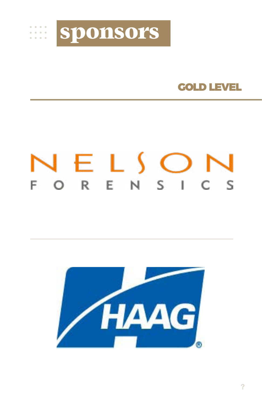

### GOLD LEVEL

# NELSON FORENSICS